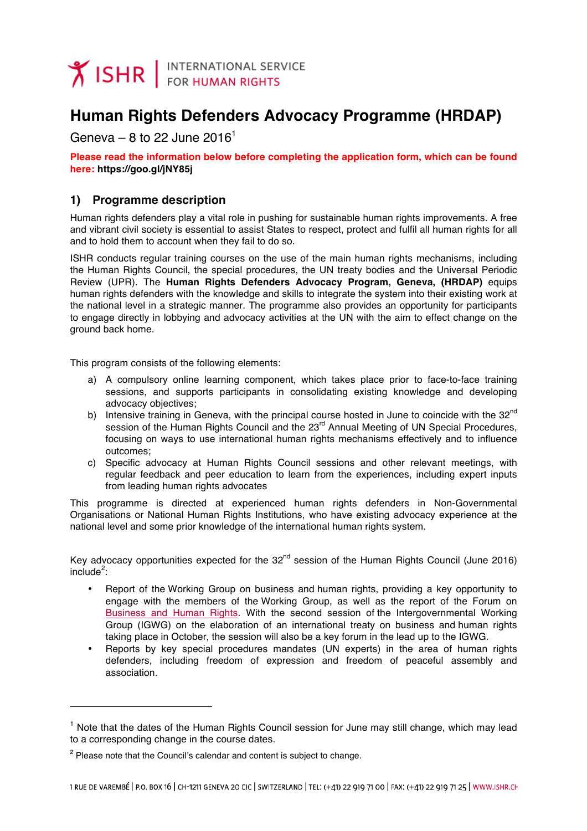

# **Human Rights Defenders Advocacy Programme (HRDAP)**

Geneva – 8 to 22 June 2016<sup>1</sup>

**Please read the information below before completing the application form, which can be found here: https://goo.gl/jNY85j**

## **1) Programme description**

Human rights defenders play a vital role in pushing for sustainable human rights improvements. A free and vibrant civil society is essential to assist States to respect, protect and fulfil all human rights for all and to hold them to account when they fail to do so.

ISHR conducts regular training courses on the use of the main human rights mechanisms, including the Human Rights Council, the special procedures, the UN treaty bodies and the Universal Periodic Review (UPR). The **Human Rights Defenders Advocacy Program, Geneva, (HRDAP)** equips human rights defenders with the knowledge and skills to integrate the system into their existing work at the national level in a strategic manner. The programme also provides an opportunity for participants to engage directly in lobbying and advocacy activities at the UN with the aim to effect change on the ground back home.

This program consists of the following elements:

- a) A compulsory online learning component, which takes place prior to face-to-face training sessions, and supports participants in consolidating existing knowledge and developing advocacy objectives;
- b) Intensive training in Geneva, with the principal course hosted in June to coincide with the  $32^{nd}$ session of the Human Rights Council and the 23<sup>rd</sup> Annual Meeting of UN Special Procedures, focusing on ways to use international human rights mechanisms effectively and to influence outcomes;
- c) Specific advocacy at Human Rights Council sessions and other relevant meetings, with regular feedback and peer education to learn from the experiences, including expert inputs from leading human rights advocates

This programme is directed at experienced human rights defenders in Non-Governmental Organisations or National Human Rights Institutions, who have existing advocacy experience at the national level and some prior knowledge of the international human rights system.

Key advocacy opportunities expected for the  $32<sup>nd</sup>$  session of the Human Rights Council (June 2016)  $include^2$ :

- Report of the Working Group on business and human rights, providing a key opportunity to engage with the members of the Working Group, as well as the report of the Forum on Business and Human Rights. With the second session of the Intergovernmental Working Group (IGWG) on the elaboration of an international treaty on business and human rights taking place in October, the session will also be a key forum in the lead up to the IGWG.
- Reports by key special procedures mandates (UN experts) in the area of human rights defenders, including freedom of expression and freedom of peaceful assembly and association.

-

 $1$  Note that the dates of the Human Rights Council session for June may still change, which may lead to a corresponding change in the course dates.

 $2$  Please note that the Council's calendar and content is subject to change.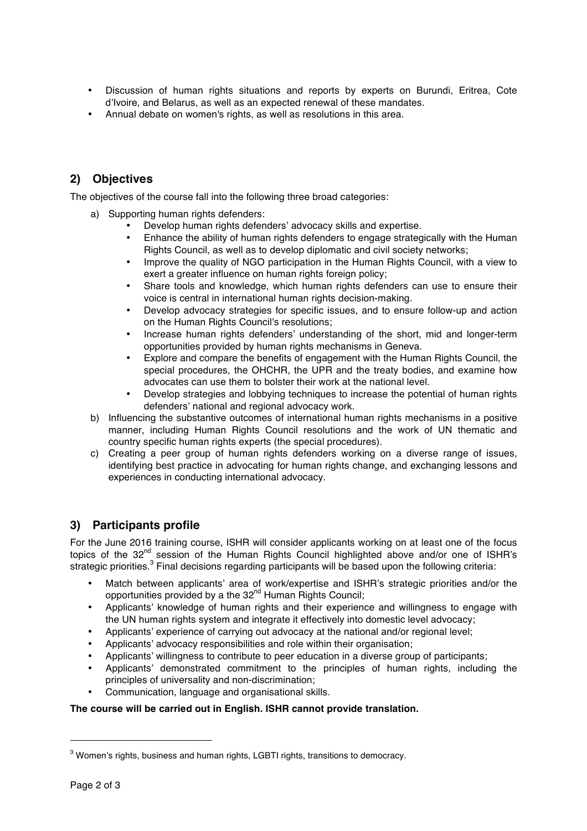- Discussion of human rights situations and reports by experts on Burundi, Eritrea, Cote d'Ivoire, and Belarus, as well as an expected renewal of these mandates.
- Annual debate on women's rights, as well as resolutions in this area.

# **2) Objectives**

The objectives of the course fall into the following three broad categories:

- a) Supporting human rights defenders:
	- Develop human rights defenders' advocacy skills and expertise.
	- Enhance the ability of human rights defenders to engage strategically with the Human Rights Council, as well as to develop diplomatic and civil society networks;
	- Improve the quality of NGO participation in the Human Rights Council, with a view to exert a greater influence on human rights foreign policy;
	- Share tools and knowledge, which human rights defenders can use to ensure their voice is central in international human rights decision-making.
	- Develop advocacy strategies for specific issues, and to ensure follow-up and action on the Human Rights Council's resolutions;
	- Increase human rights defenders' understanding of the short, mid and longer-term opportunities provided by human rights mechanisms in Geneva.
	- Explore and compare the benefits of engagement with the Human Rights Council, the special procedures, the OHCHR, the UPR and the treaty bodies, and examine how advocates can use them to bolster their work at the national level.
	- Develop strategies and lobbying techniques to increase the potential of human rights defenders' national and regional advocacy work.
- b) Influencing the substantive outcomes of international human rights mechanisms in a positive manner, including Human Rights Council resolutions and the work of UN thematic and country specific human rights experts (the special procedures).
- c) Creating a peer group of human rights defenders working on a diverse range of issues, identifying best practice in advocating for human rights change, and exchanging lessons and experiences in conducting international advocacy.

# **3) Participants profile**

For the June 2016 training course, ISHR will consider applicants working on at least one of the focus topics of the 32<sup>nd</sup> session of the Human Rights Council highlighted above and/or one of ISHR's strategic priorities. $3$  Final decisions regarding participants will be based upon the following criteria:

- Match between applicants' area of work/expertise and ISHR's strategic priorities and/or the opportunities provided by a the 32<sup>nd</sup> Human Rights Council;
- Applicants' knowledge of human rights and their experience and willingness to engage with the UN human rights system and integrate it effectively into domestic level advocacy;
- Applicants' experience of carrying out advocacy at the national and/or regional level;
- Applicants' advocacy responsibilities and role within their organisation;
- Applicants' willingness to contribute to peer education in a diverse group of participants;
- Applicants' demonstrated commitment to the principles of human rights, including the principles of universality and non-discrimination;
- Communication, language and organisational skills.

#### **The course will be carried out in English. ISHR cannot provide translation.**

-

 $3$  Women's rights, business and human rights, LGBTI rights, transitions to democracy.